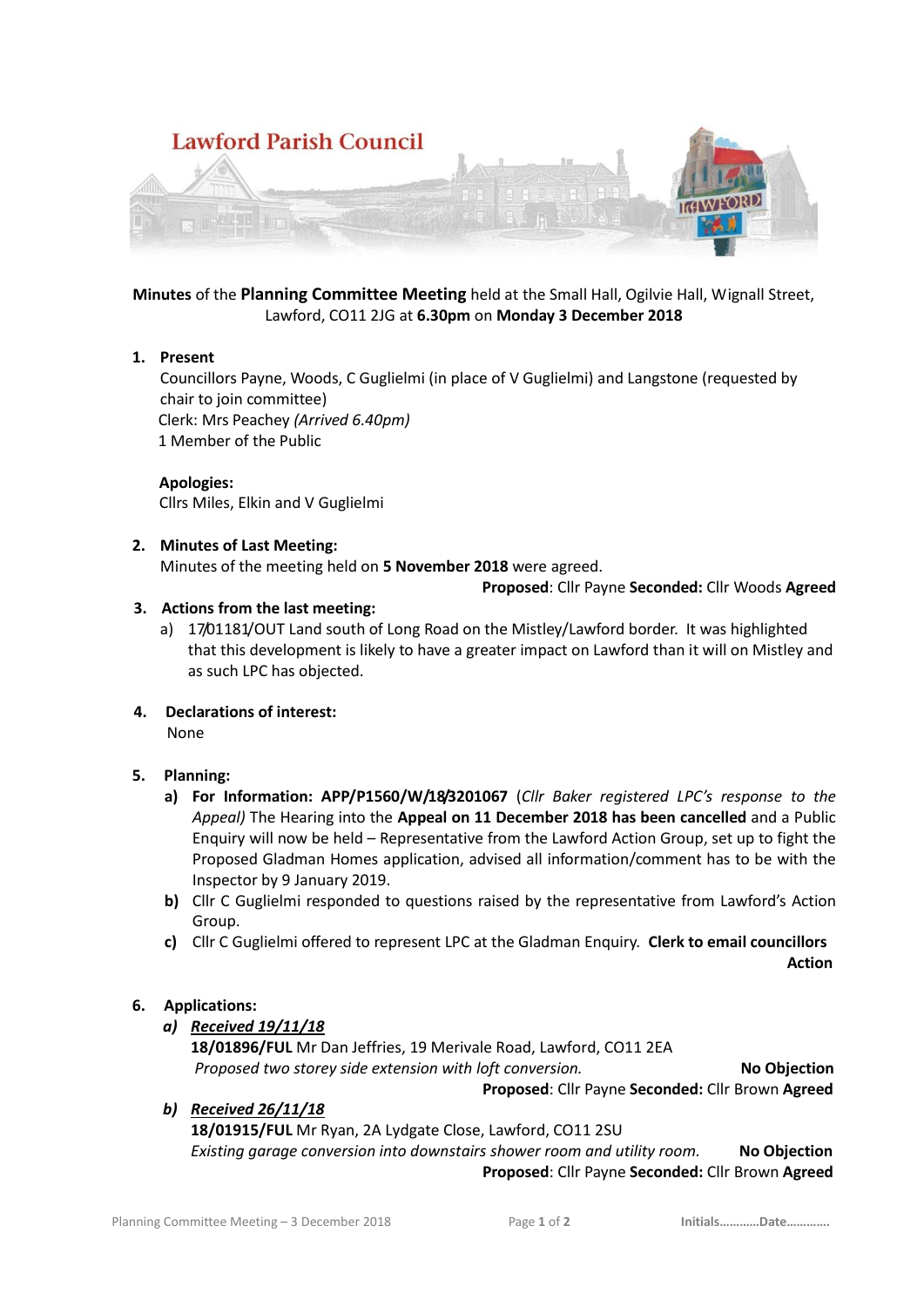

**Minutes** of the **Planning Committee Meeting** held at the Small Hall, Ogilvie Hall, Wignall Street, Lawford, CO11 2JG at **6.30pm** on **Monday 3 December 2018**

#### **1. Present**

Councillors Payne, Woods, C Guglielmi (in place of V Guglielmi) and Langstone (requested by chair to join committee) Clerk: Mrs Peachey *(Arrived 6.40pm)* 1 Member of the Public

#### **Apologies:**

Cllrs Miles, Elkin and V Guglielmi

#### **2. Minutes of Last Meeting:**

Minutes of the meeting held on **5 November 2018** were agreed.

**Proposed**: Cllr Payne **Seconded:** Cllr Woods **Agreed**

# **3. Actions from the last meeting:**

- a) 17/01181/OUT Land south of Long Road on the Mistley/Lawford border. It was highlighted that this development is likely to have a greater impact on Lawford than it will on Mistley and as such LPC has objected.
- **4. Declarations of interest:**

None

# **5. Planning:**

- **a) For Information: APP/P1560/W/18/3201067** (*Cllr Baker registered LPC's response to the Appeal)* The Hearing into the **Appeal on 11 December 2018 has been cancelled** and a Public Enquiry will now be held – Representative from the Lawford Action Group, set up to fight the Proposed Gladman Homes application, advised all information/comment has to be with the Inspector by 9 January 2019.
- **b)** Cllr C Guglielmi responded to questions raised by the representative from Lawford's Action Group.
- **c)** Cllr C Guglielmi offered to represent LPC at the Gladman Enquiry. **Clerk to email councillors**

**Action** 

# **6. Applications:**

# *a) Received 19/11/18*

**18/01896/FUL** Mr Dan Jeffries, 19 Merivale Road, Lawford, CO11 2EA *Proposed two storey side extension with loft conversion.* **No Objection**

**Proposed**: Cllr Payne **Seconded:** Cllr Brown **Agreed**

# *b) Received 26/11/18*

**18/01915/FUL** Mr Ryan, 2A Lydgate Close, Lawford, CO11 2SU *Existing garage conversion into downstairs shower room and utility room.* **No Objection** **Proposed**: Cllr Payne **Seconded:** Cllr Brown **Agreed**